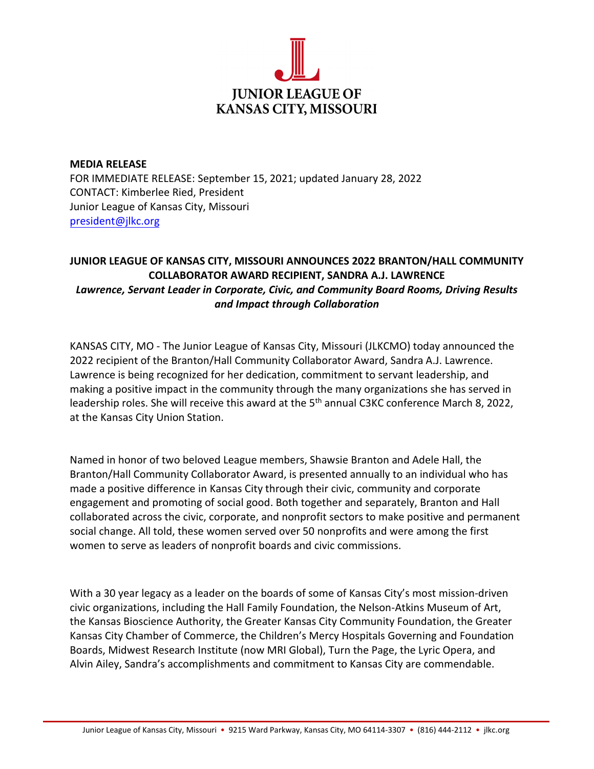

**MEDIA RELEASE** FOR IMMEDIATE RELEASE: September 15, 2021; updated January 28, 2022 CONTACT: Kimberlee Ried, President Junior League of Kansas City, Missouri [president@jlkc.org](mailto:president@jlkc.org)

## **JUNIOR LEAGUE OF KANSAS CITY, MISSOURI ANNOUNCES 2022 BRANTON/HALL COMMUNITY COLLABORATOR AWARD RECIPIENT, SANDRA A.J. LAWRENCE** *Lawrence, Servant Leader in Corporate, Civic, and Community Board Rooms, Driving Results and Impact through Collaboration*

KANSAS CITY, MO - The Junior League of Kansas City, Missouri (JLKCMO) today announced the 2022 recipient of the Branton/Hall Community Collaborator Award, Sandra A.J. Lawrence. Lawrence is being recognized for her dedication, commitment to servant leadership, and making a positive impact in the community through the many organizations she has served in leadership roles. She will receive this award at the 5<sup>th</sup> annual C3KC conference March 8, 2022, at the Kansas City Union Station.

Named in honor of two beloved League members, Shawsie Branton and Adele Hall, the Branton/Hall Community Collaborator Award, is presented annually to an individual who has made a positive difference in Kansas City through their civic, community and corporate engagement and promoting of social good. Both together and separately, Branton and Hall collaborated across the civic, corporate, and nonprofit sectors to make positive and permanent social change. All told, these women served over 50 nonprofits and were among the first women to serve as leaders of nonprofit boards and civic commissions.

With a 30 year legacy as a leader on the boards of some of Kansas City's most mission-driven civic organizations, including the Hall Family Foundation, the Nelson-Atkins Museum of Art, the Kansas Bioscience Authority, the Greater Kansas City Community Foundation, the Greater Kansas City Chamber of Commerce, the Children's Mercy Hospitals Governing and Foundation Boards, Midwest Research Institute (now MRI Global), Turn the Page, the Lyric Opera, and Alvin Ailey, Sandra's accomplishments and commitment to Kansas City are commendable.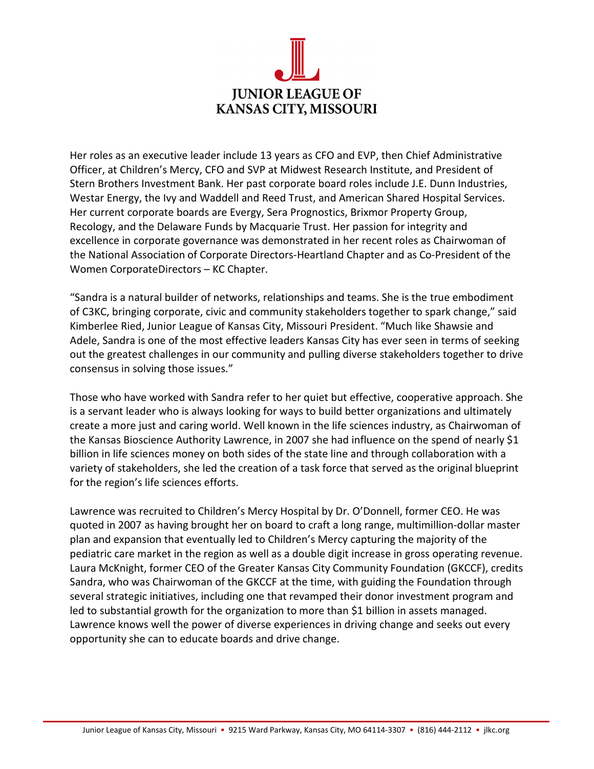

Her roles as an executive leader include 13 years as CFO and EVP, then Chief Administrative Officer, at Children's Mercy, CFO and SVP at Midwest Research Institute, and President of Stern Brothers Investment Bank. Her past corporate board roles include J.E. Dunn Industries, Westar Energy, the Ivy and Waddell and Reed Trust, and American Shared Hospital Services. Her current corporate boards are Evergy, Sera Prognostics, Brixmor Property Group, Recology, and the Delaware Funds by Macquarie Trust. Her passion for integrity and excellence in corporate governance was demonstrated in her recent roles as Chairwoman of the National Association of Corporate Directors-Heartland Chapter and as Co-President of the Women CorporateDirectors – KC Chapter.

"Sandra is a natural builder of networks, relationships and teams. She is the true embodiment of C3KC, bringing corporate, civic and community stakeholders together to spark change," said Kimberlee Ried, Junior League of Kansas City, Missouri President. "Much like Shawsie and Adele, Sandra is one of the most effective leaders Kansas City has ever seen in terms of seeking out the greatest challenges in our community and pulling diverse stakeholders together to drive consensus in solving those issues."

Those who have worked with Sandra refer to her quiet but effective, cooperative approach. She is a servant leader who is always looking for ways to build better organizations and ultimately create a more just and caring world. Well known in the life sciences industry, as Chairwoman of the Kansas Bioscience Authority Lawrence, in 2007 she had influence on the spend of nearly \$1 billion in life sciences money on both sides of the state line and through collaboration with a variety of stakeholders, she led the creation of a task force that served as the original blueprint for the region's life sciences efforts.

Lawrence was recruited to Children's Mercy Hospital by Dr. O'Donnell, former CEO. He was quoted in 2007 as having brought her on board to craft a long range, multimillion-dollar master plan and expansion that eventually led to Children's Mercy capturing the majority of the pediatric care market in the region as well as a double digit increase in gross operating revenue. Laura McKnight, former CEO of the Greater Kansas City Community Foundation (GKCCF), credits Sandra, who was Chairwoman of the GKCCF at the time, with guiding the Foundation through several strategic initiatives, including one that revamped their donor investment program and led to substantial growth for the organization to more than \$1 billion in assets managed. Lawrence knows well the power of diverse experiences in driving change and seeks out every opportunity she can to educate boards and drive change.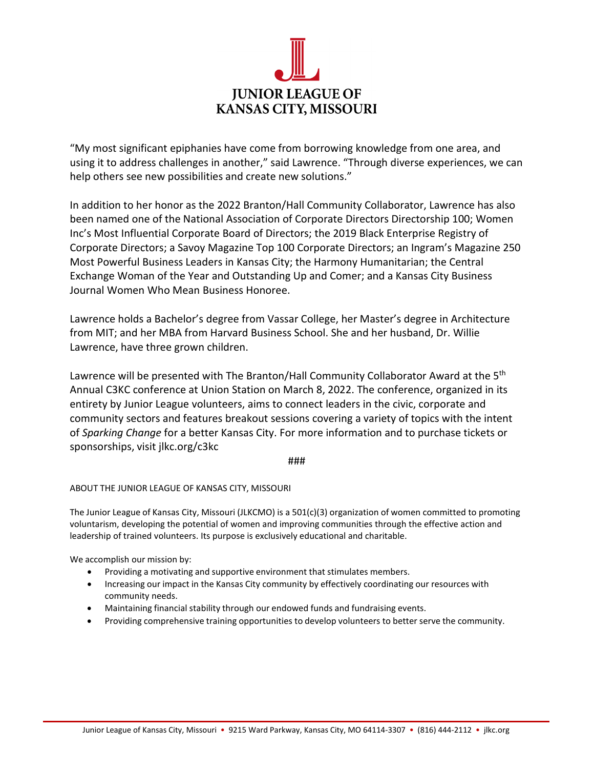

"My most significant epiphanies have come from borrowing knowledge from one area, and using it to address challenges in another," said Lawrence. "Through diverse experiences, we can help others see new possibilities and create new solutions."

In addition to her honor as the 2022 Branton/Hall Community Collaborator, Lawrence has also been named one of the National Association of Corporate Directors Directorship 100; Women Inc's Most Influential Corporate Board of Directors; the 2019 Black Enterprise Registry of Corporate Directors; a Savoy Magazine Top 100 Corporate Directors; an Ingram's Magazine 250 Most Powerful Business Leaders in Kansas City; the Harmony Humanitarian; the Central Exchange Woman of the Year and Outstanding Up and Comer; and a Kansas City Business Journal Women Who Mean Business Honoree.

Lawrence holds a Bachelor's degree from Vassar College, her Master's degree in Architecture from MIT; and her MBA from Harvard Business School. She and her husband, Dr. Willie Lawrence, have three grown children.

Lawrence will be presented with The Branton/Hall Community Collaborator Award at the 5<sup>th</sup> Annual C3KC conference at Union Station on March 8, 2022. The conference, organized in its entirety by Junior League volunteers, aims to connect leaders in the civic, corporate and community sectors and features breakout sessions covering a variety of topics with the intent of *Sparking Change* for a better Kansas City. For more information and to purchase tickets or sponsorships, visit jlkc.org/c3kc

## ###

## ABOUT THE JUNIOR LEAGUE OF KANSAS CITY, MISSOURI

The Junior League of Kansas City, Missouri (JLKCMO) is a 501(c)(3) organization of women committed to promoting voluntarism, developing the potential of women and improving communities through the effective action and leadership of trained volunteers. Its purpose is exclusively educational and charitable.

We accomplish our mission by:

- Providing a motivating and supportive environment that stimulates members.
- Increasing our impact in the Kansas City community by effectively coordinating our resources with community needs.
- Maintaining financial stability through our endowed funds and fundraising events.
- Providing comprehensive training opportunities to develop volunteers to better serve the community.